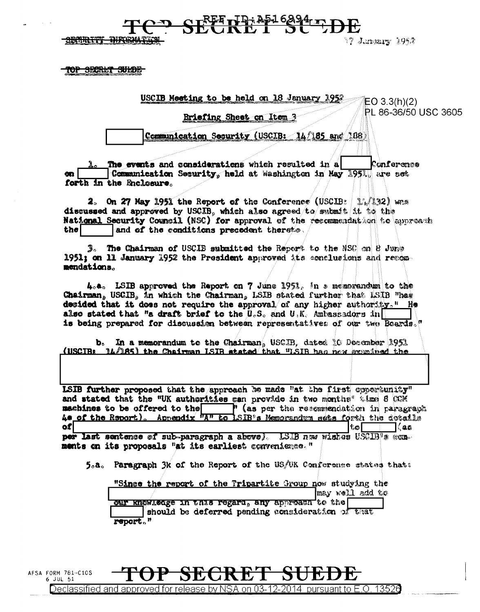$F_{\text{eff}}^{\text{REF}}$   $F_{\text{eff}}^{\text{I}}$   $F_{\text{eff}}^{\text{A}}$   $F_{\text{eff}}^{\text{A}}$ 

SECTION DIRECTOR

17 J.maary 1952

3605

<del>TOP SECRLT SULDE</del>

6 JUL 51

| USCIB Meeting to be held on 18 January<br>1052<br>$\sqrt[\infty]{E}$ C 3.3(h)(2) |
|----------------------------------------------------------------------------------|
| PL 86-36/50 USC<br>Briefing Sheet on                                             |
| <u>ication Security (USCIB: 14/185</u>                                           |

The events and considerations which resulted in a Conference Communication Security, held at Washington in May 1951, are set  $\mathbf{m}$ forth in the Enclosure.

2. On 27 May 1951 the Report of the Conference (USCIB:  $1.132$  wrs discussed and approved by USCIB, which also agreed to submit it to the National Security Council (NSC) for approval of the recommendation to approach the and of the conditions precedent thereto.

The Chairman of USCIB submitted the Report to the NSC on 8 June 1951; on 11 January 1952 the President approved its conclusions and recommendations.

4.a. LSIB approved the Report on 7 June 1951, in a memorandum to the Chairman, USCIB, in which the Chairman, LSIB stated further that LSIB "has decided that it does not require the approval of any higher authority." He also stated that "a draft brief to the  $0.5$ , and  $0.5$ . Ambassadors in is being prepared for discussion between representatives of our two Boards."

In a memorandum to the Chairman, USCIB. dated 10 December 1951 (USCIBE 14/185) the Chairman ISIB stated that "ISIB has now examined the

LSIB further proposed that the approach be made "at the first concretunity" and stated that the "UK authorities can provide in two months" time 8 COM machines to be offered to the " (as per the recommendation in paragraph 4. of the Report). Appendix "A" to LSIB"s Memorandum sets forth the dotails ofi tol l∖es.

per last sentence of sub-paragraph a above). LSB naw wiskes USCIB's conments on its proposals "at its earliest convenience."

5.a. Paragraph 3k of the Report of the US/UK Conference states that:

| "Since the report of the Tripartite Group now studying the                                            |                 |
|-------------------------------------------------------------------------------------------------------|-----------------|
|                                                                                                       | may well add to |
| cur knowledge in this regard, any approach to the<br>should be deferred pending consideration of that |                 |
| report."                                                                                              |                 |

2014

pursuant to E.O. 13526

AFSA FORM 781-C10S

Declassified and approved for release by NSA on 03-12-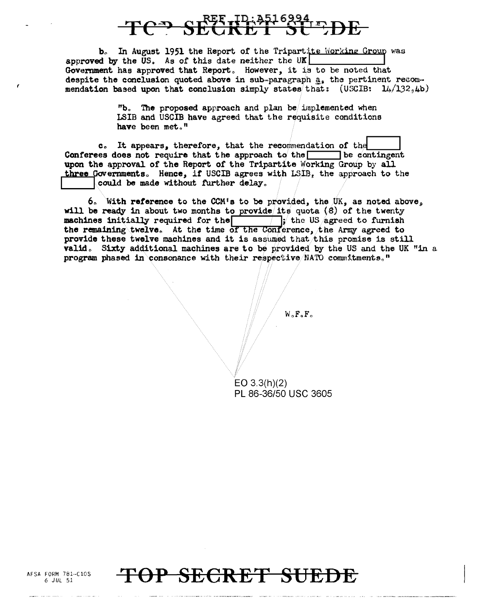## $R$ FF<sub>I</sub>D; 3516994, r, DE

b. In August 1951 the Report of the Tripartite Working Group was approved by the US. As of this date neither the UK Government has approved that Report. However, it is to be noted that despite the conclusion quoted above in sub-paragraph a, the pertinent recommendation based upon that conclusion simply states that:  $(USCIB: 11/132, 4b)$ 

> "b. The proposed approach and plan be implemented when LSIB and USCIB have agreed that the requisite conditions have been met."

c. It appears, therefore, that the recommendation of the Conferees does not require that the approach to the  $\Box$  be contingent upon the approval of the Report of the Tripartite Working Group by all three Governments. Hence, if USCIB agrees with LSIB, the approach to the could be made without further delay.

6. With reference to the CCM's to be provided, the UK, as noted above, will be ready in about two months to provide its quota  $(8)$  of the twenty machines initially required for the  $\frac{1}{\sqrt{2}}$  the US agreed to furnish the remaining twelve. At the time of the Conference, the Army agreed to provide these twelve machines and it is assumed that this promise is still valid. Sixty additional machines are to be provided by the US and the UK "in a program phased in consonance with their respective NATO commitments."

 $W \circ F \circ F \circ$ 

 $EO$  3.3(h)(2) PL 86-36/50 USC 3605



AFSA FORM 781-C10S 6 JUL 51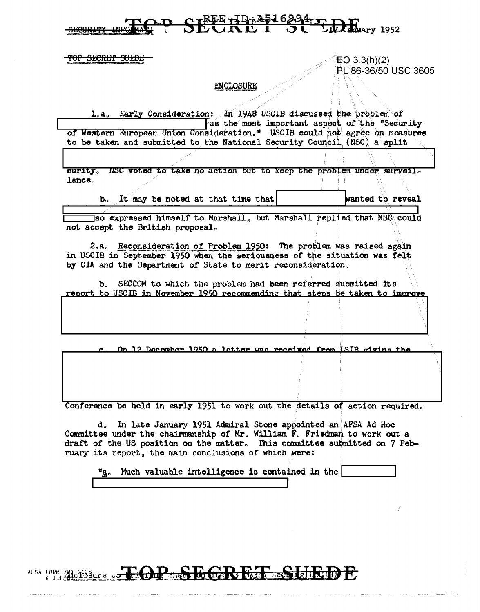### SECRET 19: 2516294-1- DE

TOP SECRET SUEDE

 $EO 3.3(h)(2)$ PL 86-36/50 USC 3605

#### ENCLOSURE

1.a. Early Consideration: In 1948 USCIB discussed the problem of as the most important aspect of the "Security" of Western European Union Consideration." USCIB could not agree on measures to be taken and submitted to the National Security Council (NSC) a split

curity. NSC voted to take no action but to keep the problem under surveil $l$ ance $<sub>o</sub>$ </sub>

b. It may be noted at that time that

wanted to reveal

so expressed himself to Marshall, but Marshall replied that NSC could not accept the British proposal.

2.a. Reconsideration of Problem 1950: The problem was raised again in USCIB in September 1950 when the seriousness of the situation was felt by CIA and the Department of State to merit reconsideration.

b. SECCOM to which the problem had been referred submitted its report to USCIB in November 1950 recommending that steps be taken to improve

On 12 December 1950 a letter was received from ISIB siving the

Conference be held in early 1951 to work out the details of action required.

d. In late January 1951 Admiral Stone appointed an AFSA Ad Hoc Committee under the chairmanship of Mr. William F. Friedman to work out a draft of the US position on the matter. This committee submitted on 7 February its report, the main conclusions of which were:

Much valuable intelligence is contained in the "a。

### AFSA FORM ZHESHSBUCE OF COPER FOR THE STRIKE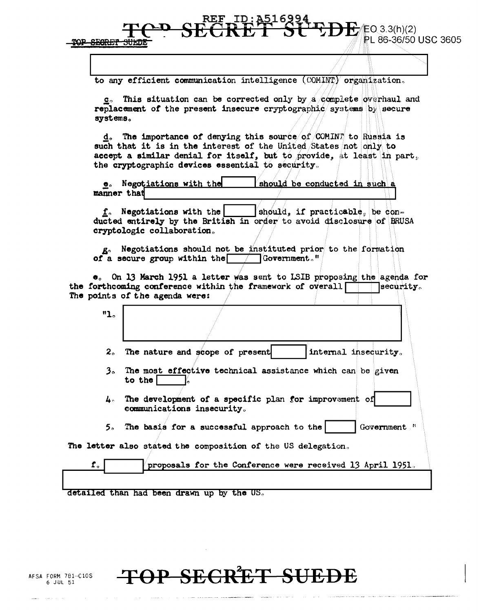**POP SECRET** 

to any efficient communication intelligence (COMINT) organization.

 $EQ$  3.3(h)(2)

PL 86-36/50 USC 3605

c. This situation can be corrected only by a complete overhaul and replacement of the present insecure cryptographic systems by secure systems.

The importance of denying this source of COMINT to Russia is d。 such that it is in the interest of the United States not only to accept a similar denial for itself, but to provide, at least in part, the cryptographic devices essential to security.

**e.** Negotiations with the should be conducted in such a manner that

 $f<sub>o</sub>$  Negotiations with the  $\int$ should, if practicable, be conducted entirely by the British in order to avoid disclosure of BRUSA cryptologic collaboration.

g. Negotiations should not be instituted prior to the formation of a secure group within the Government."

e. On 13 March 1951 a letter was sent to LSIB proposing the agenda for the forthcoming conference within the framework of overall ecurity. The points of the agenda were:

| "1。         |                                                                                        |
|-------------|----------------------------------------------------------------------------------------|
|             | 2. The nature and scope of present<br>internal insecurity.                             |
| $3^{\circ}$ | The most effective technical assistance which can be given<br>to the                   |
|             | 4. The development of a specific plan for improvement of<br>communications insecurity. |
|             | 5. The basis for a successful approach to the<br>Government "                          |
|             | letter also stated the composition of the US delegation.                               |
| ${\bf f}$   | proposals for the Conference were received 13 April 1951.                              |

detailed than had been drawn up by the US.

AFSA FORM 781--C10S 6 JUL 51

The

### <del>OP SECRET SUEDE</del>